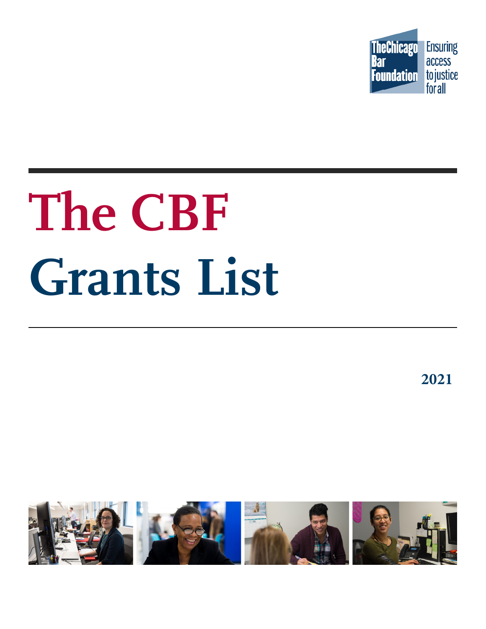

# **The CBF Grants List**

**2021**

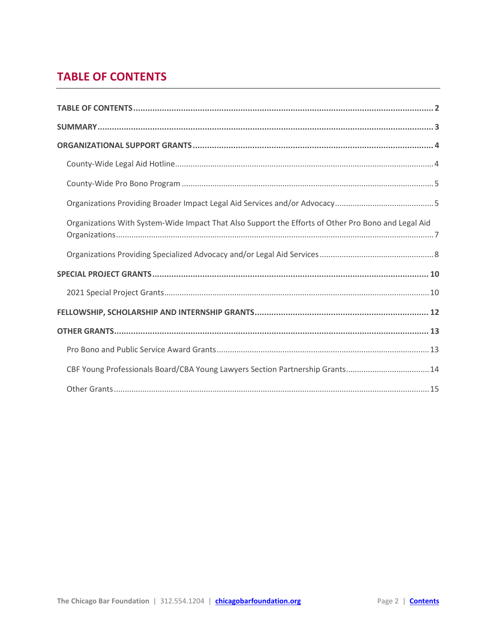# <span id="page-1-0"></span>**TABLE OF CONTENTS**

| Organizations With System-Wide Impact That Also Support the Efforts of Other Pro Bono and Legal Aid |
|-----------------------------------------------------------------------------------------------------|
|                                                                                                     |
|                                                                                                     |
|                                                                                                     |
|                                                                                                     |
|                                                                                                     |
|                                                                                                     |
| CBF Young Professionals Board/CBA Young Lawyers Section Partnership Grants 14                       |
|                                                                                                     |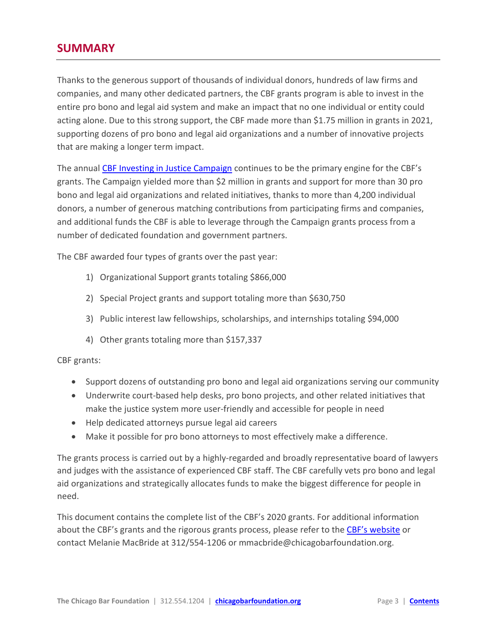# <span id="page-2-0"></span>**SUMMARY**

Thanks to the generous support of thousands of individual donors, hundreds of law firms and companies, and many other dedicated partners, the CBF grants program is able to invest in the entire pro bono and legal aid system and make an impact that no one individual or entity could acting alone. Due to this strong support, the CBF made more than \$1.75 million in grants in 2021, supporting dozens of pro bono and legal aid organizations and a number of innovative projects that are making a longer term impact.

The annua[l CBF Investing in Justice Campaign](http://chicagobarfoundation.org/campaign/) continues to be the primary engine for the CBF's grants. The Campaign yielded more than \$2 million in grants and support for more than 30 pro bono and legal aid organizations and related initiatives, thanks to more than 4,200 individual donors, a number of generous matching contributions from participating firms and companies, and additional funds the CBF is able to leverage through the Campaign grants process from a number of dedicated foundation and government partners.

The CBF awarded four types of grants over the past year:

- 1) Organizational Support grants totaling \$866,000
- 2) Special Project grants and support totaling more than \$630,750
- 3) Public interest law fellowships, scholarships, and internships totaling \$94,000
- 4) Other grants totaling more than \$157,337

## CBF grants:

- Support dozens of outstanding pro bono and legal aid organizations serving our community
- Underwrite court-based help desks, pro bono projects, and other related initiatives that make the justice system more user-friendly and accessible for people in need
- Help dedicated attorneys pursue legal aid careers
- Make it possible for pro bono attorneys to most effectively make a difference.

The grants process is carried out by a highly-regarded and broadly representative board of lawyers and judges with the assistance of experienced CBF staff. The CBF carefully vets pro bono and legal aid organizations and strategically allocates funds to make the biggest difference for people in need.

This document contains the complete list of the CBF's 2020 grants. For additional information about the CBF's grants and the rigorous grants process, please refer to the [CBF's website](http://chicagobarfoundation.org/grants/) or contact Melanie MacBride at 312/554-1206 or mmacbride@chicagobarfoundation.org.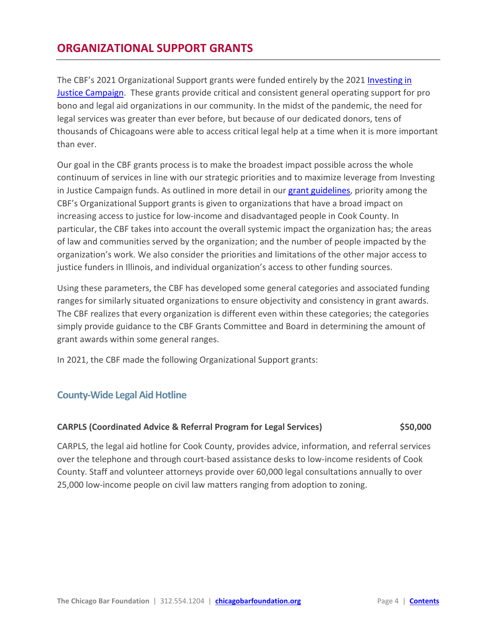# <span id="page-3-0"></span>**ORGANIZATIONAL SUPPORT GRANTS**

The CBF's 2021 Organizational Support grants were funded entirely by the 2021 [Investing in](http://chicagobarfoundation.org/campaign/)  [Justice Campaign.](http://chicagobarfoundation.org/campaign/) These grants provide critical and consistent general operating support for pro bono and legal aid organizations in our community. In the midst of the pandemic, the need for legal services was greater than ever before, but because of our dedicated donors, tens of thousands of Chicagoans were able to access critical legal help at a time when it is more important than ever.

Our goal in the CBF grants process is to make the broadest impact possible across the whole continuum of services in line with our strategic priorities and to maximize leverage from Investing in Justice Campaign funds. As outlined in more detail in our [grant guidelines,](https://chicagobarfoundation.org/pdf/grants/org-support-guidelines.pdf) priority among the CBF's Organizational Support grants is given to organizations that have a broad impact on increasing access to justice for low-income and disadvantaged people in Cook County. In particular, the CBF takes into account the overall systemic impact the organization has; the areas of law and communities served by the organization; and the number of people impacted by the organization's work. We also consider the priorities and limitations of the other major access to justice funders in Illinois, and individual organization's access to other funding sources.

Using these parameters, the CBF has developed some general categories and associated funding ranges for similarly situated organizations to ensure objectivity and consistency in grant awards. The CBF realizes that every organization is different even within these categories; the categories simply provide guidance to the CBF Grants Committee and Board in determining the amount of grant awards within some general ranges.

In 2021, the CBF made the following Organizational Support grants:

## <span id="page-3-1"></span>**County-Wide Legal Aid Hotline**

## **CARPLS (Coordinated Advice & Referral Program for Legal Services) \$50,000**

CARPLS, the legal aid hotline for Cook County, provides advice, information, and referral services over the telephone and through court-based assistance desks to low-income residents of Cook County. Staff and volunteer attorneys provide over 60,000 legal consultations annually to over 25,000 low-income people on civil law matters ranging from adoption to zoning.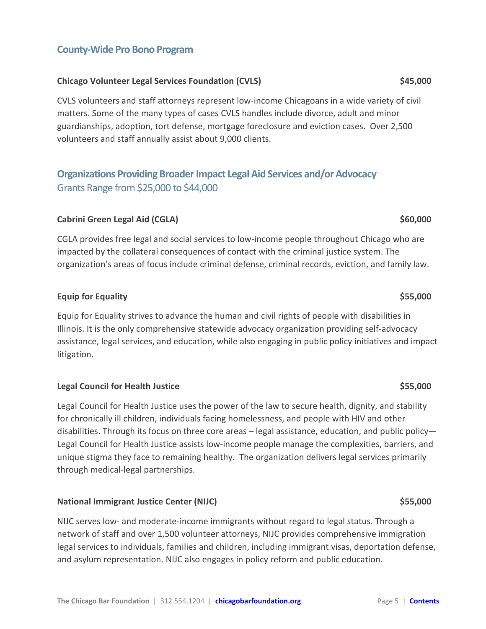## <span id="page-4-0"></span>**County-Wide Pro Bono Program**

## **Chicago Volunteer Legal Services Foundation (CVLS) \$45,000**

CVLS volunteers and staff attorneys represent low-income Chicagoans in a wide variety of civil matters. Some of the many types of cases CVLS handles include divorce, adult and minor guardianships, adoption, tort defense, mortgage foreclosure and eviction cases. Over 2,500 volunteers and staff annually assist about 9,000 clients.

# <span id="page-4-1"></span>**Organizations Providing Broader Impact Legal Aid Services and/or Advocacy** Grants Range from \$25,000 to \$44,000

## **Cabrini Green Legal Aid (CGLA) \$60,000**

CGLA provides free legal and social services to low-income people throughout Chicago who are impacted by the collateral consequences of contact with the criminal justice system. The organization's areas of focus include criminal defense, criminal records, eviction, and family law.

## **Equip for Equality \$55,000**

Equip for Equality strives to advance the human and civil rights of people with disabilities in Illinois. It is the only comprehensive statewide advocacy organization providing self-advocacy assistance, legal services, and education, while also engaging in public policy initiatives and impact litigation.

## **Legal Council for Health Justice \$55,000**

Legal Council for Health Justice uses the power of the law to secure health, dignity, and stability for chronically ill children, individuals facing homelessness, and people with HIV and other disabilities. Through its focus on three core areas – legal assistance, education, and public policy— Legal Council for Health Justice assists low-income people manage the complexities, barriers, and unique stigma they face to remaining healthy. The organization delivers legal services primarily through medical-legal partnerships.

## **National Immigrant Justice Center (NIJC) \$55,000**

NIJC serves low- and moderate-income immigrants without regard to legal status. Through a network of staff and over 1,500 volunteer attorneys, NIJC provides comprehensive immigration legal services to individuals, families and children, including immigrant visas, deportation defense, and asylum representation. NIJC also engages in policy reform and public education.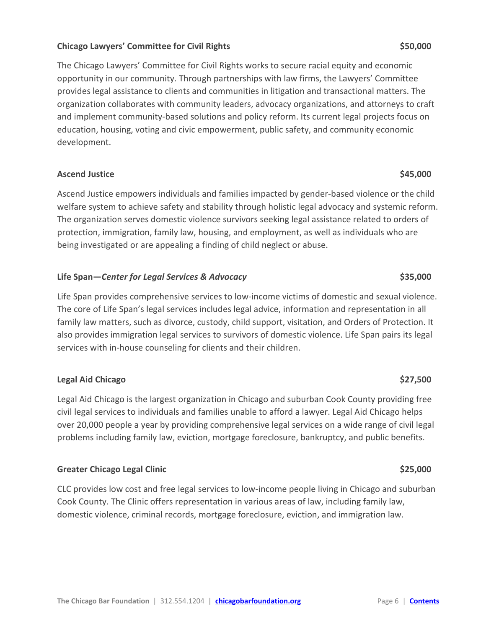#### **Chicago Lawyers' Committee for Civil Rights \$50,000**

The Chicago Lawyers' Committee for Civil Rights works to secure racial equity and economic opportunity in our community. Through partnerships with law firms, the Lawyers' Committee provides legal assistance to clients and communities in litigation and transactional matters. The organization collaborates with community leaders, advocacy organizations, and attorneys to craft and implement community-based solutions and policy reform. Its current legal projects focus on education, housing, voting and civic empowerment, public safety, and community economic development.

#### **Ascend Justice \$45,000**

Ascend Justice empowers individuals and families impacted by gender-based violence or the child welfare system to achieve safety and stability through holistic legal advocacy and systemic reform. The organization serves domestic violence survivors seeking legal assistance related to orders of protection, immigration, family law, housing, and employment, as well as individuals who are being investigated or are appealing a finding of child neglect or abuse.

## **Life Span—***Center for Legal Services & Advocacy* **\$35,000**

Life Span provides comprehensive services to low-income victims of domestic and sexual violence. The core of Life Span's legal services includes legal advice, information and representation in all family law matters, such as divorce, custody, child support, visitation, and Orders of Protection. It also provides immigration legal services to survivors of domestic violence. Life Span pairs its legal services with in-house counseling for clients and their children.

## **Legal Aid Chicago \$27,500**

Legal Aid Chicago is the largest organization in Chicago and suburban Cook County providing free civil legal services to individuals and families unable to afford a lawyer. Legal Aid Chicago helps over 20,000 people a year by providing comprehensive legal services on a wide range of civil legal problems including family law, eviction, mortgage foreclosure, bankruptcy, and public benefits.

## **Greater Chicago Legal Clinic by Case 2018 \$25,000 \$25,000**

CLC provides low cost and free legal services to low-income people living in Chicago and suburban Cook County. The Clinic offers representation in various areas of law, including family law, domestic violence, criminal records, mortgage foreclosure, eviction, and immigration law.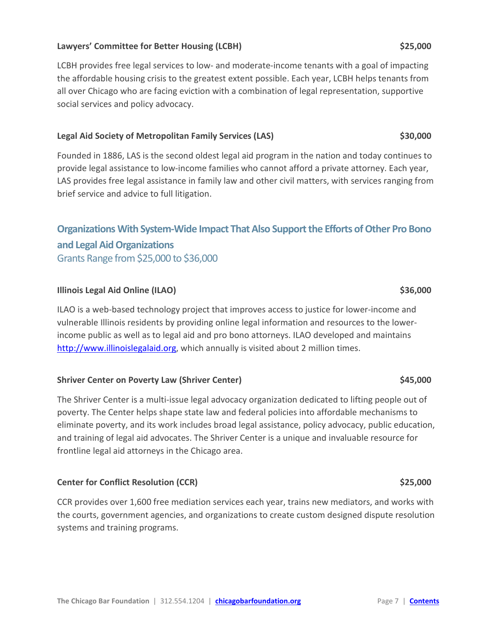## **Lawyers' Committee for Better Housing (LCBH) \$25,000**

LCBH provides free legal services to low- and moderate-income tenants with a goal of impacting the affordable housing crisis to the greatest extent possible. Each year, LCBH helps tenants from all over Chicago who are facing eviction with a combination of legal representation, supportive social services and policy advocacy.

#### **Legal Aid Society of Metropolitan Family Services (LAS) \$30,000**

Founded in 1886, LAS is the second oldest legal aid program in the nation and today continues to provide legal assistance to low-income families who cannot afford a private attorney. Each year, LAS provides free legal assistance in family law and other civil matters, with services ranging from brief service and advice to full litigation.

# <span id="page-6-0"></span>**Organizations With System-Wide Impact That Also Support the Efforts of Other Pro Bono and Legal Aid Organizations** Grants Range from \$25,000 to \$36,000

## **Illinois Legal Aid Online (ILAO) \$36,000**

ILAO is a web-based technology project that improves access to justice for lower-income and vulnerable Illinois residents by providing online legal information and resources to the lowerincome public as well as to legal aid and pro bono attorneys. ILAO developed and maintains [http://www.illinoislegalaid.org,](http://www.illinoislegalaid.org/) which annually is visited about 2 million times.

## **Shriver Center on Poverty Law (Shriver Center) \$45,000**

The Shriver Center is a multi-issue legal advocacy organization dedicated to lifting people out of poverty. The Center helps shape state law and federal policies into affordable mechanisms to eliminate poverty, and its work includes broad legal assistance, policy advocacy, public education, and training of legal aid advocates. The Shriver Center is a unique and invaluable resource for frontline legal aid attorneys in the Chicago area.

## **Center for Conflict Resolution (CCR) \$25,000**

CCR provides over 1,600 free mediation services each year, trains new mediators, and works with the courts, government agencies, and organizations to create custom designed dispute resolution systems and training programs.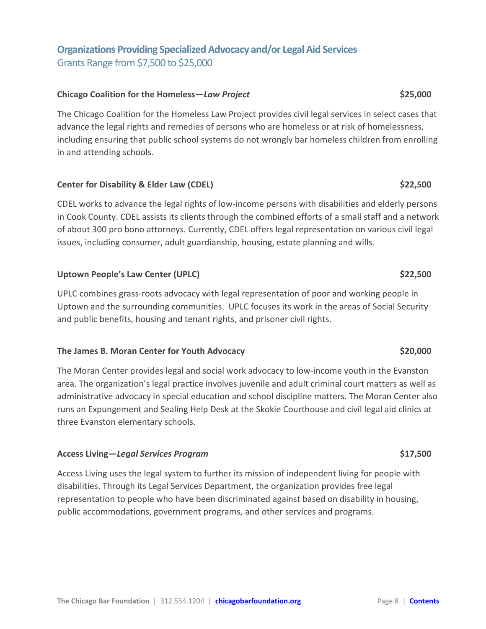# <span id="page-7-0"></span>**Organizations Providing Specialized Advocacy and/or Legal Aid Services** Grants Range from \$7,500 to \$25,000

#### **Chicago Coalition for the Homeless—***Law Project* **\$25,000**

The Chicago Coalition for the Homeless Law Project provides civil legal services in select cases that advance the legal rights and remedies of persons who are homeless or at risk of homelessness, including ensuring that public school systems do not wrongly bar homeless children from enrolling in and attending schools.

#### **Center for Disability & Elder Law (CDEL) \$22,500**

CDEL works to advance the legal rights of low-income persons with disabilities and elderly persons in Cook County. CDEL assists its clients through the combined efforts of a small staff and a network of about 300 pro bono attorneys. Currently, CDEL offers legal representation on various civil legal issues, including consumer, adult guardianship, housing, estate planning and wills.

## **Uptown People's Law Center (UPLC) \$22,500**

UPLC combines grass-roots advocacy with legal representation of poor and working people in Uptown and the surrounding communities. UPLC focuses its work in the areas of Social Security and public benefits, housing and tenant rights, and prisoner civil rights.

#### **The James B. Moran Center for Youth Advocacy <b>\$20,000 \$20,000**

The Moran Center provides legal and social work advocacy to low-income youth in the Evanston area. The organization's legal practice involves juvenile and adult criminal court matters as well as administrative advocacy in special education and school discipline matters. The Moran Center also runs an Expungement and Sealing Help Desk at the Skokie Courthouse and civil legal aid clinics at three Evanston elementary schools.

#### **Access Living—***Legal Services Program* **\$17,500**

Access Living uses the legal system to further its mission of independent living for people with disabilities. Through its Legal Services Department, the organization provides free legal representation to people who have been discriminated against based on disability in housing, public accommodations, government programs, and other services and programs.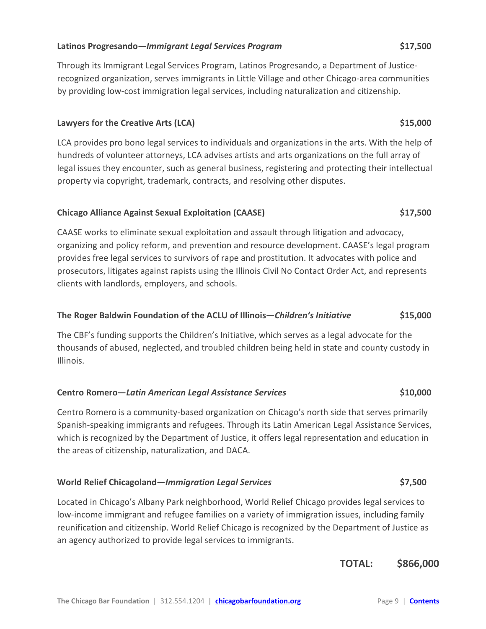#### **Latinos Progresando—***Immigrant Legal Services Program* **\$17,500**

Through its Immigrant Legal Services Program, Latinos Progresando, a Department of Justicerecognized organization, serves immigrants in Little Village and other Chicago-area communities by providing low-cost immigration legal services, including naturalization and citizenship.

## **Lawyers for the Creative Arts (LCA) \$15,000 \$15,000**

LCA provides pro bono legal services to individuals and organizations in the arts. With the help of hundreds of volunteer attorneys, LCA advises artists and arts organizations on the full array of legal issues they encounter, such as general business, registering and protecting their intellectual property via copyright, trademark, contracts, and resolving other disputes.

## **Chicago Alliance Against Sexual Exploitation (CAASE) \$17,500**

CAASE works to eliminate sexual exploitation and assault through litigation and advocacy, organizing and policy reform, and prevention and resource development. CAASE's legal program provides free legal services to survivors of rape and prostitution. It advocates with police and prosecutors, litigates against rapists using the Illinois Civil No Contact Order Act, and represents clients with landlords, employers, and schools.

## **The Roger Baldwin Foundation of the ACLU of Illinois—***Children's Initiative* **\$15,000**

The CBF's funding supports the Children's Initiative, which serves as a legal advocate for the thousands of abused, neglected, and troubled children being held in state and county custody in Illinois.

## **Centro Romero—***Latin American Legal Assistance Services* **\$10,000**

Centro Romero is a community-based organization on Chicago's north side that serves primarily Spanish-speaking immigrants and refugees. Through its Latin American Legal Assistance Services, which is recognized by the Department of Justice, it offers legal representation and education in the areas of citizenship, naturalization, and DACA.

## **World Relief Chicagoland—***Immigration Legal Services* **\$7,500**

Located in Chicago's Albany Park neighborhood, World Relief Chicago provides legal services to low-income immigrant and refugee families on a variety of immigration issues, including family reunification and citizenship. World Relief Chicago is recognized by the Department of Justice as an agency authorized to provide legal services to immigrants.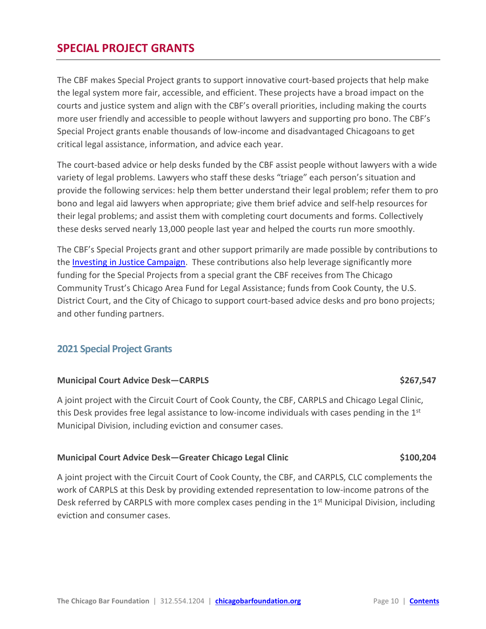# <span id="page-9-0"></span>**SPECIAL PROJECT GRANTS**

The CBF makes Special Project grants to support innovative court-based projects that help make the legal system more fair, accessible, and efficient. These projects have a broad impact on the courts and justice system and align with the CBF's overall priorities, including making the courts more user friendly and accessible to people without lawyers and supporting pro bono. The CBF's Special Project grants enable thousands of low-income and disadvantaged Chicagoans to get critical legal assistance, information, and advice each year.

The court-based advice or help desks funded by the CBF assist people without lawyers with a wide variety of legal problems. Lawyers who staff these desks "triage" each person's situation and provide the following services: help them better understand their legal problem; refer them to pro bono and legal aid lawyers when appropriate; give them brief advice and self-help resources for their legal problems; and assist them with completing court documents and forms. Collectively these desks served nearly 13,000 people last year and helped the courts run more smoothly.

The CBF's Special Projects grant and other support primarily are made possible by contributions to the [Investing in Justice Campaign.](http://chicagobarfoundation.org/campaign/) These contributions also help leverage significantly more funding for the Special Projects from a special grant the CBF receives from The Chicago Community Trust's Chicago Area Fund for Legal Assistance; funds from Cook County, the U.S. District Court, and the City of Chicago to support court-based advice desks and pro bono projects; and other funding partners.

## <span id="page-9-1"></span>**2021 Special Project Grants**

## **Municipal Court Advice Desk—CARPLS 1988 1998 1999 1999 1999 1999 1999 1999 1999 1999 1999 1999 1999 1999 1999 1999 1999 1999 1999 1999 1999 1999 1999 1999 1999 1999 19**

A joint project with the Circuit Court of Cook County, the CBF, CARPLS and Chicago Legal Clinic, this Desk provides free legal assistance to low-income individuals with cases pending in the 1<sup>st</sup> Municipal Division, including eviction and consumer cases.

#### **Municipal Court Advice Desk—Greater Chicago Legal Clinic \$100,204**

A joint project with the Circuit Court of Cook County, the CBF, and CARPLS, CLC complements the work of CARPLS at this Desk by providing extended representation to low-income patrons of the Desk referred by CARPLS with more complex cases pending in the  $1<sup>st</sup>$  Municipal Division, including eviction and consumer cases.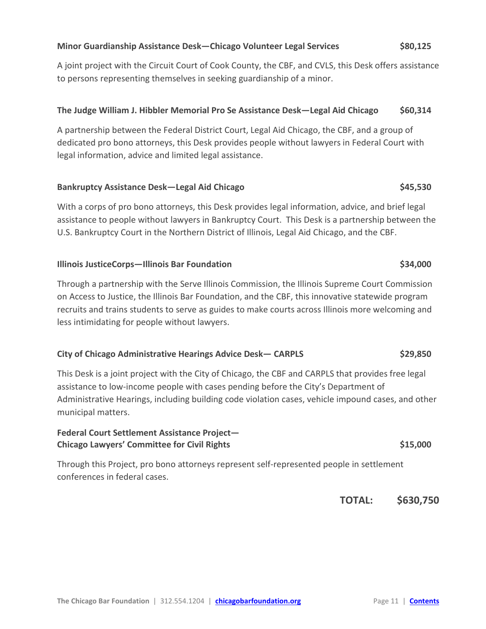## **Minor Guardianship Assistance Desk—Chicago Volunteer Legal Services \$80,125**

A joint project with the Circuit Court of Cook County, the CBF, and CVLS, this Desk offers assistance to persons representing themselves in seeking guardianship of a minor.

## **The Judge William J. Hibbler Memorial Pro Se Assistance Desk—Legal Aid Chicago \$60,314**

A partnership between the Federal District Court, Legal Aid Chicago, the CBF, and a group of dedicated pro bono attorneys, this Desk provides people without lawyers in Federal Court with legal information, advice and limited legal assistance.

#### **Bankruptcy Assistance Desk—Legal Aid Chicago \$45,530**

With a corps of pro bono attorneys, this Desk provides legal information, advice, and brief legal assistance to people without lawyers in Bankruptcy Court. This Desk is a partnership between the U.S. Bankruptcy Court in the Northern District of Illinois, Legal Aid Chicago, and the CBF.

## **Illinois JusticeCorps—Illinois Bar Foundation \$34,000**

Through a partnership with the Serve Illinois Commission, the Illinois Supreme Court Commission on Access to Justice, the Illinois Bar Foundation, and the CBF, this innovative statewide program recruits and trains students to serve as guides to make courts across Illinois more welcoming and less intimidating for people without lawyers.

## **City of Chicago Administrative Hearings Advice Desk— CARPLS \$29,850**

This Desk is a joint project with the City of Chicago, the CBF and CARPLS that provides free legal assistance to low-income people with cases pending before the City's Department of Administrative Hearings, including building code violation cases, vehicle impound cases, and other municipal matters.

## **Federal Court Settlement Assistance Project— Chicago Lawyers' Committee for Civil Rights \$15,000**

Through this Project, pro bono attorneys represent self-represented people in settlement conferences in federal cases.

**TOTAL: \$630,750**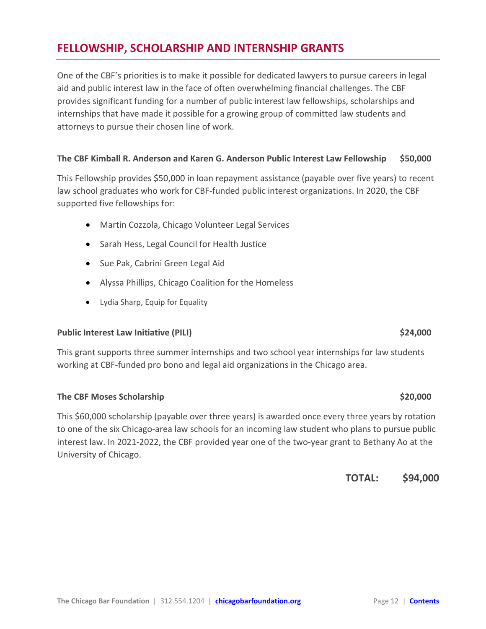#### **The Chicago Bar Foundation** | 312.554.1204 | **[chicagobarfoundation.org](http://chicagobarfoundation.org/)** Page 12 | **[Contents](#page-1-0)**

# <span id="page-11-0"></span>**FELLOWSHIP, SCHOLARSHIP AND INTERNSHIP GRANTS**

One of the CBF's priorities is to make it possible for dedicated lawyers to pursue careers in legal aid and public interest law in the face of often overwhelming financial challenges. The CBF provides significant funding for a number of public interest law fellowships, scholarships and internships that have made it possible for a growing group of committed law students and attorneys to pursue their chosen line of work.

#### **The CBF Kimball R. Anderson and Karen G. Anderson Public Interest Law Fellowship \$50,000**

This Fellowship provides \$50,000 in loan repayment assistance (payable over five years) to recent law school graduates who work for CBF-funded public interest organizations. In 2020, the CBF supported five fellowships for:

- Martin Cozzola, Chicago Volunteer Legal Services
- Sarah Hess, Legal Council for Health Justice
- Sue Pak, Cabrini Green Legal Aid
- Alyssa Phillips, Chicago Coalition for the Homeless
- Lydia Sharp, Equip for Equality

## **Public Interest Law Initiative (PILI) \$24,000**

This grant supports three summer internships and two school year internships for law students working at CBF-funded pro bono and legal aid organizations in the Chicago area.

## **The CBF Moses Scholarship 620,000 \$20,000 \$20,000**

This \$60,000 scholarship (payable over three years) is awarded once every three years by rotation to one of the six Chicago-area law schools for an incoming law student who plans to pursue public interest law. In 2021-2022, the CBF provided year one of the two-year grant to Bethany Ao at the University of Chicago.

**TOTAL: \$94,000**

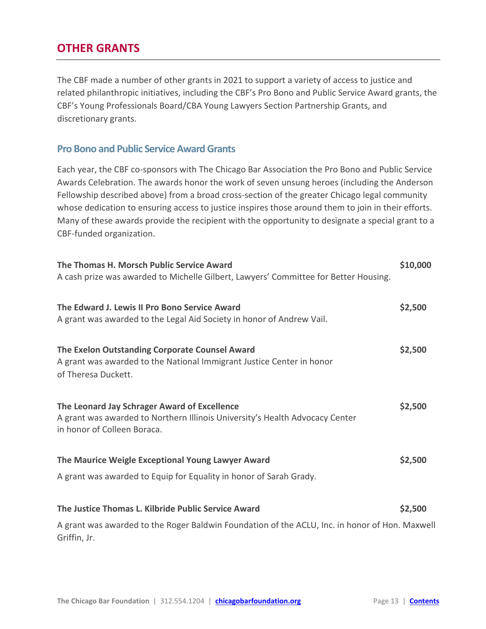# <span id="page-12-0"></span>**OTHER GRANTS**

The CBF made a number of other grants in 2021 to support a variety of access to justice and related philanthropic initiatives, including the CBF's Pro Bono and Public Service Award grants, the CBF's Young Professionals Board/CBA Young Lawyers Section Partnership Grants, and discretionary grants.

## <span id="page-12-1"></span>**Pro Bono and Public Service Award Grants**

Each year, the CBF co-sponsors with The Chicago Bar Association the Pro Bono and Public Service Awards Celebration. The awards honor the work of seven unsung heroes (including the Anderson Fellowship described above) from a broad cross-section of the greater Chicago legal community whose dedication to ensuring access to justice inspires those around them to join in their efforts. Many of these awards provide the recipient with the opportunity to designate a special grant to a CBF-funded organization.

| The Thomas H. Morsch Public Service Award<br>A cash prize was awarded to Michelle Gilbert, Lawyers' Committee for Better Housing.                           | \$10,000 |
|-------------------------------------------------------------------------------------------------------------------------------------------------------------|----------|
| The Edward J. Lewis II Pro Bono Service Award<br>A grant was awarded to the Legal Aid Society in honor of Andrew Vail.                                      | \$2,500  |
| The Exelon Outstanding Corporate Counsel Award<br>A grant was awarded to the National Immigrant Justice Center in honor<br>of Theresa Duckett.              | \$2,500  |
| The Leonard Jay Schrager Award of Excellence<br>A grant was awarded to Northern Illinois University's Health Advocacy Center<br>in honor of Colleen Boraca. | \$2,500  |
| The Maurice Weigle Exceptional Young Lawyer Award<br>A grant was awarded to Equip for Equality in honor of Sarah Grady.                                     | \$2,500  |
| The Justice Thomas L. Kilbride Public Service Award                                                                                                         | \$2,500  |
| A grant was awarded to the Roger Baldwin Foundation of the ACLU, Inc. in honor of Hon. Maxwell<br>Griffin, Jr.                                              |          |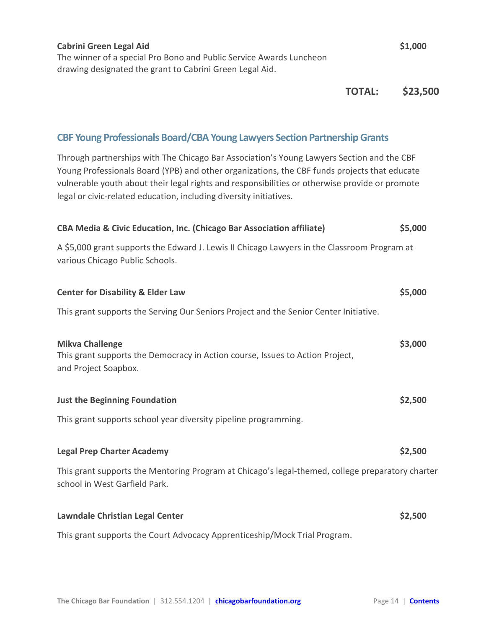<span id="page-13-0"></span>

| The winner of a special Pro Bono and Public Service Awards Luncheon<br>drawing designated the grant to Cabrini Green Legal Aid.                                                                                                                                                                                                                                   |          |
|-------------------------------------------------------------------------------------------------------------------------------------------------------------------------------------------------------------------------------------------------------------------------------------------------------------------------------------------------------------------|----------|
| <b>TOTAL:</b>                                                                                                                                                                                                                                                                                                                                                     | \$23,500 |
| <b>CBF Young Professionals Board/CBA Young Lawyers Section Partnership Grants</b>                                                                                                                                                                                                                                                                                 |          |
| Through partnerships with The Chicago Bar Association's Young Lawyers Section and the CBF<br>Young Professionals Board (YPB) and other organizations, the CBF funds projects that educate<br>vulnerable youth about their legal rights and responsibilities or otherwise provide or promote<br>legal or civic-related education, including diversity initiatives. |          |
| CBA Media & Civic Education, Inc. (Chicago Bar Association affiliate)                                                                                                                                                                                                                                                                                             | \$5,000  |
| A \$5,000 grant supports the Edward J. Lewis II Chicago Lawyers in the Classroom Program at<br>various Chicago Public Schools.                                                                                                                                                                                                                                    |          |
| <b>Center for Disability &amp; Elder Law</b>                                                                                                                                                                                                                                                                                                                      | \$5,000  |
| This grant supports the Serving Our Seniors Project and the Senior Center Initiative.                                                                                                                                                                                                                                                                             |          |
| <b>Mikva Challenge</b><br>This grant supports the Democracy in Action course, Issues to Action Project,<br>and Project Soapbox.                                                                                                                                                                                                                                   | \$3,000  |
| <b>Just the Beginning Foundation</b>                                                                                                                                                                                                                                                                                                                              | \$2,500  |
| This grant supports school year diversity pipeline programming.                                                                                                                                                                                                                                                                                                   |          |
| <b>Legal Prep Charter Academy</b>                                                                                                                                                                                                                                                                                                                                 | \$2,500  |
| This grant supports the Mentoring Program at Chicago's legal-themed, college preparatory charter<br>school in West Garfield Park.                                                                                                                                                                                                                                 |          |
| <b>Lawndale Christian Legal Center</b>                                                                                                                                                                                                                                                                                                                            | \$2,500  |
| This grant supports the Court Advocacy Apprenticeship/Mock Trial Program.                                                                                                                                                                                                                                                                                         |          |

**Cabrini Green Legal Aid \$1,000**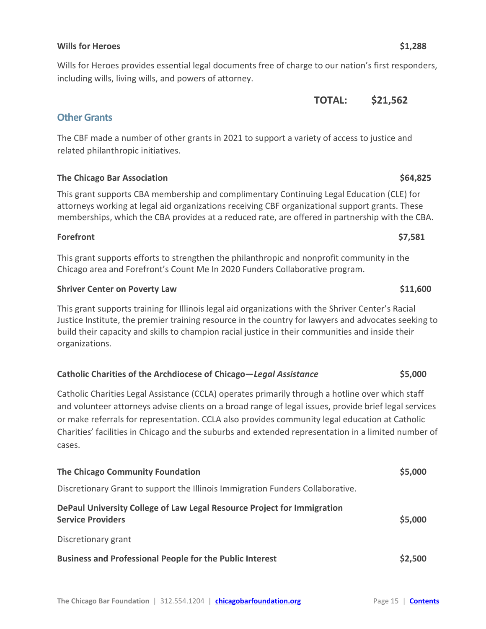## **Wills for Heroes \$1,288**

Wills for Heroes provides essential legal documents free of charge to our nation's first responders, including wills, living wills, and powers of attorney.

# <span id="page-14-0"></span>**Other Grants**

The CBF made a number of other grants in 2021 to support a variety of access to justice and related philanthropic initiatives.

# **The Chicago Bar Association \$64,825**

This grant supports CBA membership and complimentary Continuing Legal Education (CLE) for attorneys working at legal aid organizations receiving CBF organizational support grants. These memberships, which the CBA provides at a reduced rate, are offered in partnership with the CBA.

## **Forefront \$7,581**

This grant supports efforts to strengthen the philanthropic and nonprofit community in the Chicago area and Forefront's Count Me In 2020 Funders Collaborative program.

## **Shriver Center on Poverty Law \$11,600 \$11,600**

This grant supports training for Illinois legal aid organizations with the Shriver Center's Racial Justice Institute, the premier training resource in the country for lawyers and advocates seeking to build their capacity and skills to champion racial justice in their communities and inside their organizations.

## **Catholic Charities of the Archdiocese of Chicago—***Legal Assistance* **\$5,000**

Catholic Charities Legal Assistance (CCLA) operates primarily through a hotline over which staff and volunteer attorneys advise clients on a broad range of legal issues, provide brief legal services or make referrals for representation. CCLA also provides community legal education at Catholic Charities' facilities in Chicago and the suburbs and extended representation in a limited number of cases.

| The Chicago Community Foundation                                                                    | \$5,000 |
|-----------------------------------------------------------------------------------------------------|---------|
| Discretionary Grant to support the Illinois Immigration Funders Collaborative.                      |         |
| DePaul University College of Law Legal Resource Project for Immigration<br><b>Service Providers</b> | \$5,000 |
| Discretionary grant                                                                                 |         |
| <b>Business and Professional People for the Public Interest</b>                                     | \$2,500 |

**TOTAL: \$21,562**